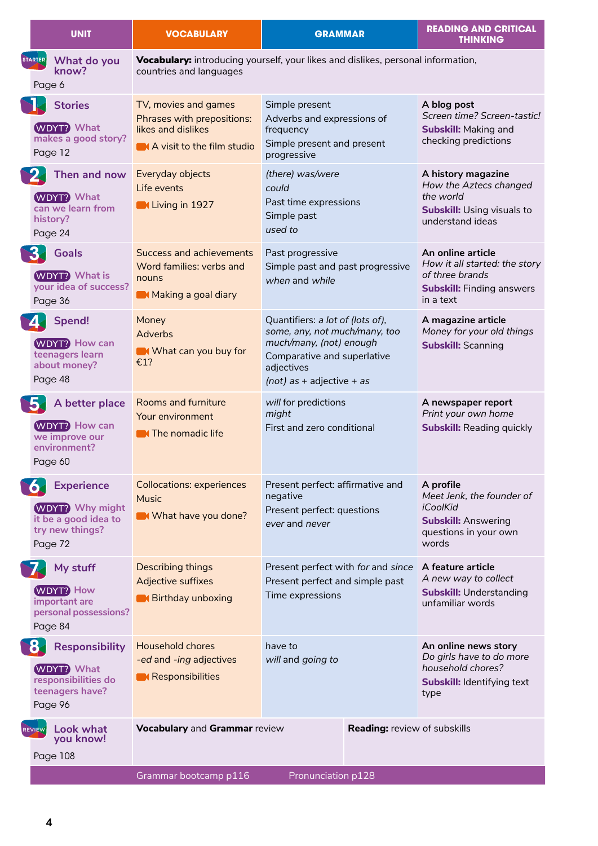| <b>UNIT</b>                                                                                                   | <b>VOCABULARY</b>                                                                                           | <b>GRAMMAR</b>                                                                                                                                                           | <b>READING AND CRITICAL</b><br><b>THINKING</b>                                                                         |
|---------------------------------------------------------------------------------------------------------------|-------------------------------------------------------------------------------------------------------------|--------------------------------------------------------------------------------------------------------------------------------------------------------------------------|------------------------------------------------------------------------------------------------------------------------|
| <b>STARTER</b><br>What do you<br>know?<br>Page 6                                                              | Vocabulary: introducing yourself, your likes and dislikes, personal information,<br>countries and languages |                                                                                                                                                                          |                                                                                                                        |
| <b>Stories</b><br><b>WDYT?</b> What<br>makes a good story?<br>Page 12                                         | TV, movies and games<br>Phrases with prepositions:<br>likes and dislikes<br>A visit to the film studio      | Simple present<br>Adverbs and expressions of<br>frequency<br>Simple present and present<br>progressive                                                                   | A blog post<br>Screen time? Screen-tastic!<br><b>Subskill: Making and</b><br>checking predictions                      |
| $\mathbf{P}$<br>Then and now<br><b>WDYT? What</b><br>can we learn from<br>history?<br>Page 24                 | Everyday objects<br>Life events<br><b>Contact Living in 1927</b>                                            | (there) was/were<br>could<br>Past time expressions<br>Simple past<br>used to                                                                                             | A history magazine<br>How the Aztecs changed<br>the world<br><b>Subskill: Using visuals to</b><br>understand ideas     |
| <b>3.</b><br><b>Goals</b><br><b>WDYT?</b> What is<br>your idea of success?<br>Page 36                         | <b>Success and achievements</b><br>Word families: verbs and<br>nouns<br>Making a goal diary                 | Past progressive<br>Simple past and past progressive<br>when and while                                                                                                   | An online article<br>How it all started: the story<br>of three brands<br><b>Subskill:</b> Finding answers<br>in a text |
| Spend!<br><b>WDYT?</b> How can<br>teenagers learn<br>about money?<br>Page 48                                  | Money<br>Adverbs<br>What can you buy for<br>€1?                                                             | Quantifiers: a lot of (lots of),<br>some, any, not much/many, too<br>much/many, (not) enough<br>Comparative and superlative<br>adjectives<br>$(not)$ as + adjective + as | A magazine article<br>Money for your old things<br><b>Subskill: Scanning</b>                                           |
| 15.<br>A better place<br><b>WDYT?</b> How can<br>we improve our<br>environment?<br>Page 60                    | <b>Rooms and furniture</b><br>Your environment<br><b>N</b> The nomadic life                                 | will for predictions<br>might<br>First and zero conditional                                                                                                              | A newspaper report<br>Print your own home<br><b>Subskill: Reading quickly</b>                                          |
| <b>Experience</b><br><b>O</b><br><b>WDYT?</b> Why might<br>it be a good idea to<br>try new things?<br>Page 72 | <b>Collocations: experiences</b><br><b>Music</b><br>What have you done?                                     | Present perfect: affirmative and<br>negative<br>Present perfect: questions<br>ever and never                                                                             | A profile<br>Meet Jenk, the founder of<br>iCoolKid<br><b>Subskill: Answering</b><br>questions in your own<br>words     |
| My stuff<br><b>WDYT? How</b><br>important are<br>personal possessions?<br>Page 84                             | <b>Describing things</b><br>Adjective suffixes<br><b>Birthday unboxing</b>                                  | Present perfect with for and since<br>Present perfect and simple past<br>Time expressions                                                                                | A feature article<br>A new way to collect<br><b>Subskill: Understanding</b><br>unfamiliar words                        |
| Responsibility<br>87<br><b>WDYT?</b> What<br>responsibilities do<br>teenagers have?<br>Page 96                | Household chores<br>-ed and -ing adjectives<br><b>Responsibilities</b>                                      | have to<br>will and going to                                                                                                                                             | An online news story<br>Do girls have to do more<br>household chores?<br>Subskill: Identifying text<br>type            |
| Look what<br>REVIEW<br>you know!<br>Page 108                                                                  | Vocabulary and Grammar review                                                                               |                                                                                                                                                                          | <b>Reading: review of subskills</b>                                                                                    |
|                                                                                                               | Grammar bootcamp p116                                                                                       | Pronunciation p128                                                                                                                                                       |                                                                                                                        |